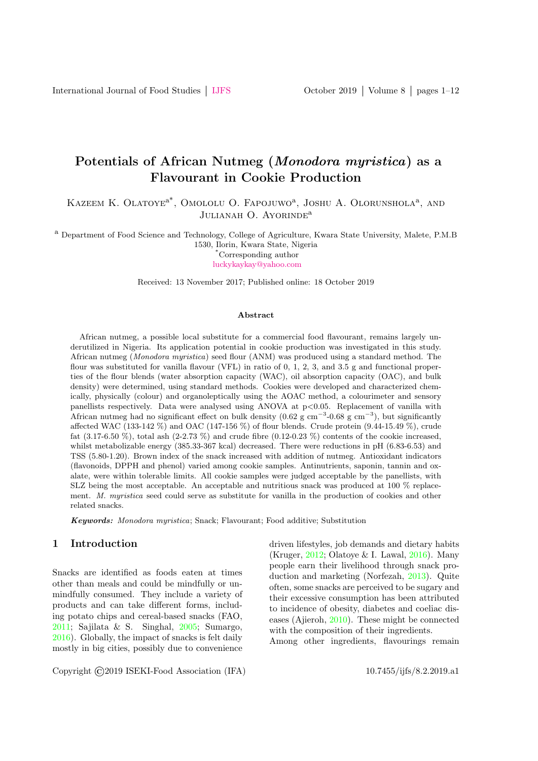# Potentials of African Nutmeg (Monodora myristica) as a Flavourant in Cookie Production

KAZEEM K. OLATOYE<sup>a\*</sup>, OMOLOLU O. FAPOJUWO<sup>a</sup>, JOSHU A. OLORUNSHOLA<sup>a</sup>, AND JULIANAH O. AYORINDE<sup>a</sup>

<sup>a</sup> Department of Food Science and Technology, College of Agriculture, Kwara State University, Malete, P.M.B 1530, Ilorin, Kwara State, Nigeria

\*Corresponding author

[luckykaykay@yahoo.com](mailto: luckykaykay@yahoo.com)

Received: 13 November 2017; Published online: 18 October 2019

#### Abstract

African nutmeg, a possible local substitute for a commercial food flavourant, remains largely underutilized in Nigeria. Its application potential in cookie production was investigated in this study. African nutmeg (Monodora myristica) seed flour (ANM) was produced using a standard method. The flour was substituted for vanilla flavour (VFL) in ratio of 0, 1, 2, 3, and 3.5 g and functional properties of the flour blends (water absorption capacity (WAC), oil absorption capacity (OAC), and bulk density) were determined, using standard methods. Cookies were developed and characterized chemically, physically (colour) and organoleptically using the AOAC method, a colourimeter and sensory panellists respectively. Data were analysed using ANOVA at  $p<0.05$ . Replacement of vanilla with African nutmeg had no significant effect on bulk density  $(0.62 \text{ g cm}^{-3} \cdot 0.68 \text{ g cm}^{-3})$ , but significantly affected WAC (133-142 %) and OAC (147-156 %) of flour blends. Crude protein (9.44-15.49 %), crude fat  $(3.17-6.50\%)$ , total ash  $(2-2.73\%)$  and crude fibre  $(0.12-0.23\%)$  contents of the cookie increased, whilst metabolizable energy (385.33-367 kcal) decreased. There were reductions in pH (6.83-6.53) and TSS (5.80-1.20). Brown index of the snack increased with addition of nutmeg. Antioxidant indicators (flavonoids, DPPH and phenol) varied among cookie samples. Antinutrients, saponin, tannin and oxalate, were within tolerable limits. All cookie samples were judged acceptable by the panellists, with SLZ being the most acceptable. An acceptable and nutritious snack was produced at 100 % replacement. M. myristica seed could serve as substitute for vanilla in the production of cookies and other related snacks.

Keywords: Monodora myristica; Snack; Flavourant; Food additive; Substitution

### 1 Introduction

Snacks are identified as foods eaten at times other than meals and could be mindfully or unmindfully consumed. They include a variety of products and can take different forms, including potato chips and cereal-based snacks (FAO, [2011;](#page-10-0) Sajilata & S. Singhal, [2005;](#page-11-0) Sumargo, [2016\)](#page-11-1). Globally, the impact of snacks is felt daily mostly in big cities, possibly due to convenience driven lifestyles, job demands and dietary habits (Kruger, [2012;](#page-10-1) Olatoye & I. Lawal, [2016\)](#page-11-2). Many people earn their livelihood through snack production and marketing (Norfezah, [2013\)](#page-11-3). Quite often, some snacks are perceived to be sugary and their excessive consumption has been attributed to incidence of obesity, diabetes and coeliac diseases (Ajieroh, [2010\)](#page-9-0). These might be connected with the composition of their ingredients. Among other ingredients, flavourings remain

Copyright ©2019 ISEKI-Food Association (IFA) 10.7455/ijfs/8.2.2019.a1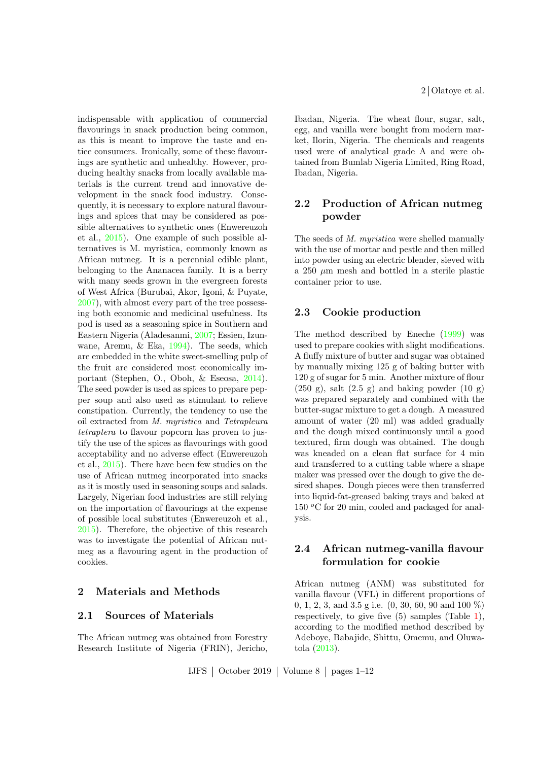indispensable with application of commercial flavourings in snack production being common, as this is meant to improve the taste and entice consumers. Ironically, some of these flavourings are synthetic and unhealthy. However, producing healthy snacks from locally available materials is the current trend and innovative development in the snack food industry. Consequently, it is necessary to explore natural flavourings and spices that may be considered as possible alternatives to synthetic ones (Enwereuzoh et al., [2015\)](#page-10-2). One example of such possible alternatives is M. myristica, commonly known as African nutmeg. It is a perennial edible plant, belonging to the Ananacea family. It is a berry with many seeds grown in the evergreen forests of West Africa (Burubai, Akor, Igoni, & Puyate, [2007\)](#page-9-1), with almost every part of the tree possessing both economic and medicinal usefulness. Its pod is used as a seasoning spice in Southern and Eastern Nigeria (Aladesanmi, [2007;](#page-9-2) Essien, Izunwane, Aremu, & Eka, [1994\)](#page-10-3). The seeds, which are embedded in the white sweet-smelling pulp of the fruit are considered most economically important (Stephen, O., Oboh, & Eseosa, [2014\)](#page-11-4). The seed powder is used as spices to prepare pepper soup and also used as stimulant to relieve constipation. Currently, the tendency to use the oil extracted from M. myristica and Tetrapleura tetraptera to flavour popcorn has proven to justify the use of the spices as flavourings with good acceptability and no adverse effect (Enwereuzoh et al., [2015\)](#page-10-2). There have been few studies on the use of African nutmeg incorporated into snacks as it is mostly used in seasoning soups and salads. Largely, Nigerian food industries are still relying on the importation of flavourings at the expense of possible local substitutes (Enwereuzoh et al., [2015\)](#page-10-2). Therefore, the objective of this research was to investigate the potential of African nutmeg as a flavouring agent in the production of cookies.

### 2 Materials and Methods

### 2.1 Sources of Materials

The African nutmeg was obtained from Forestry Research Institute of Nigeria (FRIN), Jericho, Ibadan, Nigeria. The wheat flour, sugar, salt, egg, and vanilla were bought from modern market, Ilorin, Nigeria. The chemicals and reagents used were of analytical grade A and were obtained from Bumlab Nigeria Limited, Ring Road, Ibadan, Nigeria.

## 2.2 Production of African nutmeg powder

The seeds of M. muristica were shelled manually with the use of mortar and pestle and then milled into powder using an electric blender, sieved with a 250  $\mu$ m mesh and bottled in a sterile plastic container prior to use.

### 2.3 Cookie production

The method described by Eneche [\(1999\)](#page-10-4) was used to prepare cookies with slight modifications. A fluffy mixture of butter and sugar was obtained by manually mixing 125 g of baking butter with 120 g of sugar for 5 min. Another mixture of flour  $(250 \text{ g})$ , salt  $(2.5 \text{ g})$  and baking powder  $(10 \text{ g})$ was prepared separately and combined with the butter-sugar mixture to get a dough. A measured amount of water (20 ml) was added gradually and the dough mixed continuously until a good textured, firm dough was obtained. The dough was kneaded on a clean flat surface for 4 min and transferred to a cutting table where a shape maker was pressed over the dough to give the desired shapes. Dough pieces were then transferred into liquid-fat-greased baking trays and baked at 150 °C for 20 min, cooled and packaged for analysis.

## 2.4 African nutmeg-vanilla flavour formulation for cookie

African nutmeg (ANM) was substituted for vanilla flavour (VFL) in different proportions of 0, 1, 2, 3, and 3.5 g i.e. (0, 30, 60, 90 and 100 %) respectively, to give five (5) samples (Table [1\)](#page-2-0), according to the modified method described by Adeboye, Babajide, Shittu, Omemu, and Oluwatola [\(2013\)](#page-9-3).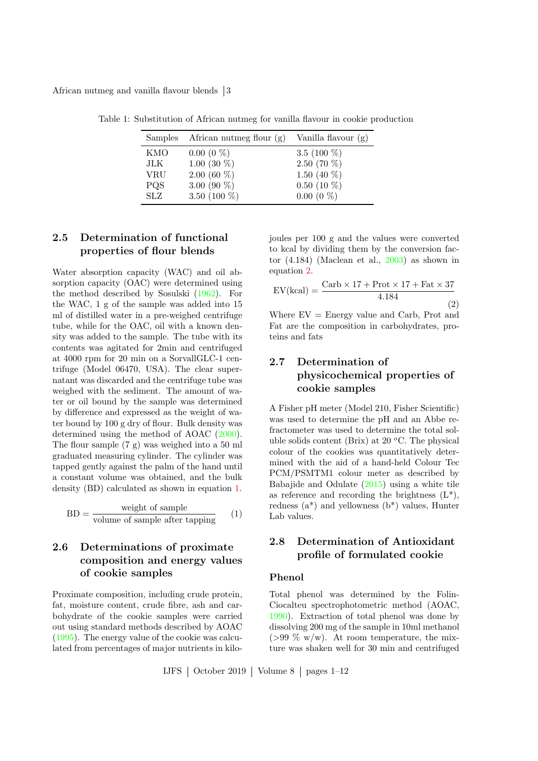African nutmeg and vanilla flavour blends 3

<span id="page-2-0"></span>

|            | Samples African nutmeg flour $(g)$ | Vanilla flavour $(g)$ |
|------------|------------------------------------|-----------------------|
| KMO        | $0.00(0\%)$                        | 3.5 $(100\%)$         |
| JLK        | 1.00 (30 $%$ )                     | $2.50(70\%)$          |
| <b>VRU</b> | $2.00(60\%)$                       | 1.50 $(40\%$          |
| <b>PQS</b> | 3.00 (90 $\%$ )                    | $0.50(10\%)$          |
| SLZ        | 3.50 (100 $%$ )                    | $0.00(0\%)$           |

Table 1: Substitution of African nutmeg for vanilla flavour in cookie production

## 2.5 Determination of functional properties of flour blends

Water absorption capacity (WAC) and oil absorption capacity (OAC) were determined using the method described by Sosulski [\(1962\)](#page-11-5). For the WAC, 1 g of the sample was added into 15 ml of distilled water in a pre-weighed centrifuge tube, while for the OAC, oil with a known density was added to the sample. The tube with its contents was agitated for 2min and centrifuged at 4000 rpm for 20 min on a SorvallGLC-1 centrifuge (Model 06470, USA). The clear supernatant was discarded and the centrifuge tube was weighed with the sediment. The amount of water or oil bound by the sample was determined by difference and expressed as the weight of water bound by 100 g dry of flour. Bulk density was determined using the method of AOAC [\(2000\)](#page-9-4). The flour sample (7 g) was weighed into a 50 ml graduated measuring cylinder. The cylinder was tapped gently against the palm of the hand until a constant volume was obtained, and the bulk density (BD) calculated as shown in equation [1.](#page-2-1)

<span id="page-2-1"></span>
$$
BD = \frac{\text{weight of sample}}{\text{volume of sample after tapping}} \qquad (1)
$$

## 2.6 Determinations of proximate composition and energy values of cookie samples

Proximate composition, including crude protein, fat, moisture content, crude fibre, ash and carbohydrate of the cookie samples were carried out using standard methods described by AOAC [\(1995\)](#page-9-5). The energy value of the cookie was calculated from percentages of major nutrients in kilojoules per 100 g and the values were converted to kcal by dividing them by the conversion factor (4.184) (Maclean et al., [2003\)](#page-10-5) as shown in equation [2.](#page-2-2)

<span id="page-2-2"></span>
$$
EV(kcal) = \frac{Carb \times 17 + Prot \times 17 + Fat \times 37}{4.184}
$$
\n(2)

Where  $EV =$  Energy value and Carb, Prot and Fat are the composition in carbohydrates, proteins and fats

## 2.7 Determination of physicochemical properties of cookie samples

A Fisher pH meter (Model 210, Fisher Scientific) was used to determine the pH and an Abbe refractometer was used to determine the total soluble solids content (Brix) at 20  $^{\circ}$ C. The physical colour of the cookies was quantitatively determined with the aid of a hand-held Colour Tec PCM/PSMTM1 colour meter as described by Babajide and Odulate [\(2015\)](#page-9-6) using a white tile as reference and recording the brightness  $(L^*),$ redness  $(a^*)$  and yellowness  $(b^*)$  values, Hunter Lab values.

## 2.8 Determination of Antioxidant profile of formulated cookie

#### Phenol

Total phenol was determined by the Folin-Ciocalteu spectrophotometric method (AOAC, [1990\)](#page-9-7). Extraction of total phenol was done by dissolving 200 mg of the sample in 10ml methanol ( $>99\%$  w/w). At room temperature, the mixture was shaken well for 30 min and centrifuged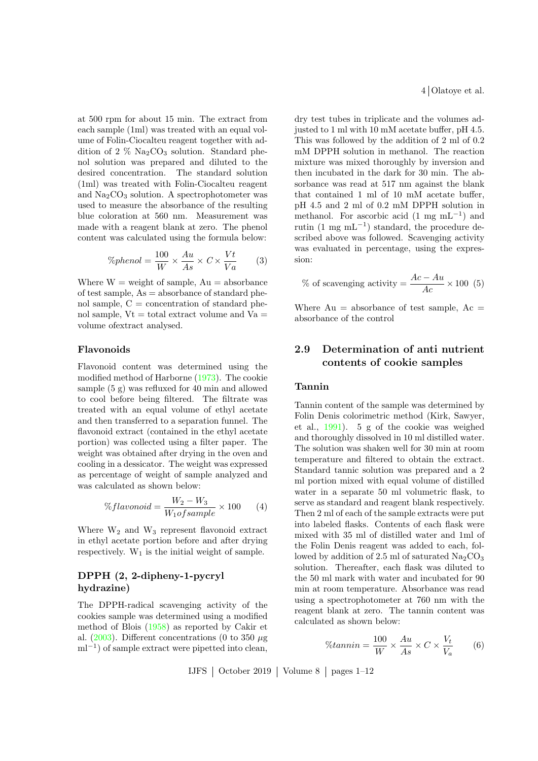at 500 rpm for about 15 min. The extract from each sample (1ml) was treated with an equal volume of Folin-Ciocalteu reagent together with addition of 2  $\%$  Na<sub>2</sub>CO<sub>3</sub> solution. Standard phenol solution was prepared and diluted to the desired concentration. The standard solution (1ml) was treated with Folin-Ciocalteu reagent and  $Na<sub>2</sub>CO<sub>3</sub>$  solution. A spectrophotometer was used to measure the absorbance of the resulting blue coloration at 560 nm. Measurement was made with a reagent blank at zero. The phenol content was calculated using the formula below:

$$
\%phenol = \frac{100}{W} \times \frac{Au}{As} \times C \times \frac{Vt}{Va}
$$
 (3)

Where  $W =$  weight of sample,  $Au =$  absorbance of test sample,  $As = absorbance$  of standard phenol sample,  $C =$  concentration of standard phenol sample,  $Vt = total$  extract volume and  $Va =$ volume ofextract analysed.

### Flavonoids

Flavonoid content was determined using the modified method of Harborne [\(1973\)](#page-10-6). The cookie sample (5 g) was refluxed for 40 min and allowed to cool before being filtered. The filtrate was treated with an equal volume of ethyl acetate and then transferred to a separation funnel. The flavonoid extract (contained in the ethyl acetate portion) was collected using a filter paper. The weight was obtained after drying in the oven and cooling in a dessicator. The weight was expressed as percentage of weight of sample analyzed and was calculated as shown below:

$$
\%flavonoid = \frac{W_2 - W_3}{W_1 of sample} \times 100 \tag{4}
$$

Where  $W_2$  and  $W_3$  represent flavonoid extract in ethyl acetate portion before and after drying respectively.  $W_1$  is the initial weight of sample.

### DPPH (2, 2-dipheny-1-pycryl hydrazine)

The DPPH-radical scavenging activity of the cookies sample was determined using a modified method of Blois [\(1958\)](#page-9-8) as reported by Cakir et al. [\(2003\)](#page-9-9). Different concentrations (0 to 350  $\mu$ g ml<sup>-1</sup>) of sample extract were pipetted into clean,

4 Olatoye et al.

dry test tubes in triplicate and the volumes adjusted to 1 ml with 10 mM acetate buffer, pH 4.5. This was followed by the addition of 2 ml of 0.2 mM DPPH solution in methanol. The reaction mixture was mixed thoroughly by inversion and then incubated in the dark for 30 min. The absorbance was read at 517 nm against the blank that contained 1 ml of 10 mM acetate buffer, pH 4.5 and 2 ml of 0.2 mM DPPH solution in methanol. For ascorbic acid  $(1 \text{ mg } \text{mL}^{-1})$  and rutin  $(1 \text{ mg } \text{mL}^{-1})$  standard, the procedure described above was followed. Scavenging activity was evaluated in percentage, using the expression:

% of scavenging activity = 
$$
\frac{Ac - Au}{Ac} \times 100
$$
 (5)

Where  $Au =$  absorbance of test sample,  $Ac =$ absorbance of the control

## 2.9 Determination of anti nutrient contents of cookie samples

#### Tannin

Tannin content of the sample was determined by Folin Denis colorimetric method (Kirk, Sawyer, et al., [1991\)](#page-10-7). 5 g of the cookie was weighed and thoroughly dissolved in 10 ml distilled water. The solution was shaken well for 30 min at room temperature and filtered to obtain the extract. Standard tannic solution was prepared and a 2 ml portion mixed with equal volume of distilled water in a separate 50 ml volumetric flask, to serve as standard and reagent blank respectively. Then 2 ml of each of the sample extracts were put into labeled flasks. Contents of each flask were mixed with 35 ml of distilled water and 1ml of the Folin Denis reagent was added to each, followed by addition of 2.5 ml of saturated  $\text{Na}_2\text{CO}_3$ solution. Thereafter, each flask was diluted to the 50 ml mark with water and incubated for 90 min at room temperature. Absorbance was read using a spectrophotometer at 760 nm with the reagent blank at zero. The tannin content was calculated as shown below:

$$
\%tannin = \frac{100}{W} \times \frac{Au}{As} \times C \times \frac{V_t}{V_a} \tag{6}
$$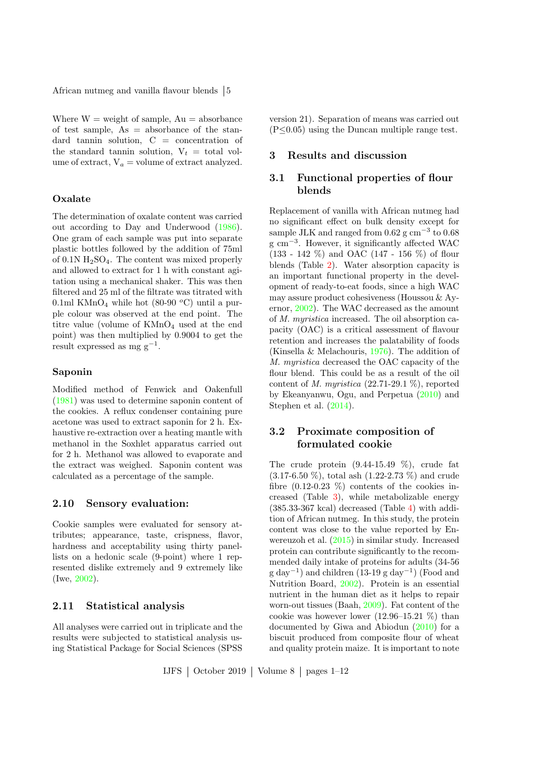African nutmeg and vanilla flavour blends  $\vert 5 \rangle$ 

Where  $W =$  weight of sample,  $Au =$  absorbance of test sample,  $As = absorbance$  of the standard tannin solution, C = concentration of the standard tannin solution,  $V_t = \text{total}$  volume of extract,  $V_a$  = volume of extract analyzed.

### **Oxalate**

The determination of oxalate content was carried out according to Day and Underwood [\(1986\)](#page-10-8). One gram of each sample was put into separate plastic bottles followed by the addition of 75ml of  $0.1N$   $H<sub>2</sub>SO<sub>4</sub>$ . The content was mixed properly and allowed to extract for 1 h with constant agitation using a mechanical shaker. This was then filtered and 25 ml of the filtrate was titrated with 0.1ml KMnO<sub>4</sub> while hot (80-90  $^{\circ}$ C) until a purple colour was observed at the end point. The titre value (volume of  $KMnO<sub>4</sub>$  used at the end point) was then multiplied by 0.9004 to get the result expressed as mg  $g^{-1}$ .

#### Saponin

Modified method of Fenwick and Oakenfull [\(1981\)](#page-10-9) was used to determine saponin content of the cookies. A reflux condenser containing pure acetone was used to extract saponin for 2 h. Exhaustive re-extraction over a heating mantle with methanol in the Soxhlet apparatus carried out for 2 h. Methanol was allowed to evaporate and the extract was weighed. Saponin content was calculated as a percentage of the sample.

### 2.10 Sensory evaluation:

Cookie samples were evaluated for sensory attributes; appearance, taste, crispness, flavor, hardness and acceptability using thirty panellists on a hedonic scale (9-point) where 1 represented dislike extremely and 9 extremely like (Iwe, [2002\)](#page-10-10).

### 2.11 Statistical analysis

All analyses were carried out in triplicate and the results were subjected to statistical analysis using Statistical Package for Social Sciences (SPSS version 21). Separation of means was carried out  $(P \leq 0.05)$  using the Duncan multiple range test.

### 3 Results and discussion

## 3.1 Functional properties of flour blends

Replacement of vanilla with African nutmeg had no significant effect on bulk density except for sample JLK and ranged from  $0.62$  g cm<sup>-3</sup> to  $0.68$ g cm<sup>-3</sup>. However, it significantly affected WAC (133 - 142 %) and OAC (147 - 156 %) of flour blends (Table [2\)](#page-5-0). Water absorption capacity is an important functional property in the development of ready-to-eat foods, since a high WAC may assure product cohesiveness (Houssou & Ayernor, [2002\)](#page-10-11). The WAC decreased as the amount of M. myristica increased. The oil absorption capacity (OAC) is a critical assessment of flavour retention and increases the palatability of foods (Kinsella & Melachouris, [1976\)](#page-10-12). The addition of M. myristica decreased the OAC capacity of the flour blend. This could be as a result of the oil content of M. myristica  $(22.71-29.1\%)$ , reported by Ekeanyanwu, Ogu, and Perpetua [\(2010\)](#page-10-13) and Stephen et al. [\(2014\)](#page-11-4).

## 3.2 Proximate composition of formulated cookie

The crude protein  $(9.44-15.49\%)$ , crude fat (3.17-6.50 %), total ash (1.22-2.73 %) and crude fibre  $(0.12-0.23\%)$  contents of the cookies increased (Table [3\)](#page-5-1), while metabolizable energy (385.33-367 kcal) decreased (Table [4\)](#page-6-0) with addition of African nutmeg. In this study, the protein content was close to the value reported by Enwereuzoh et al. [\(2015\)](#page-10-2) in similar study. Increased protein can contribute significantly to the recommended daily intake of proteins for adults (34-56 g day<sup>-1</sup>) and children (13-19 g day<sup>-1</sup>) (Food and Nutrition Board, [2002\)](#page-10-14). Protein is an essential nutrient in the human diet as it helps to repair worn-out tissues (Baah, [2009\)](#page-9-10). Fat content of the cookie was however lower (12.96–15.21 %) than documented by Giwa and Abiodun [\(2010\)](#page-10-15) for a biscuit produced from composite flour of wheat and quality protein maize. It is important to note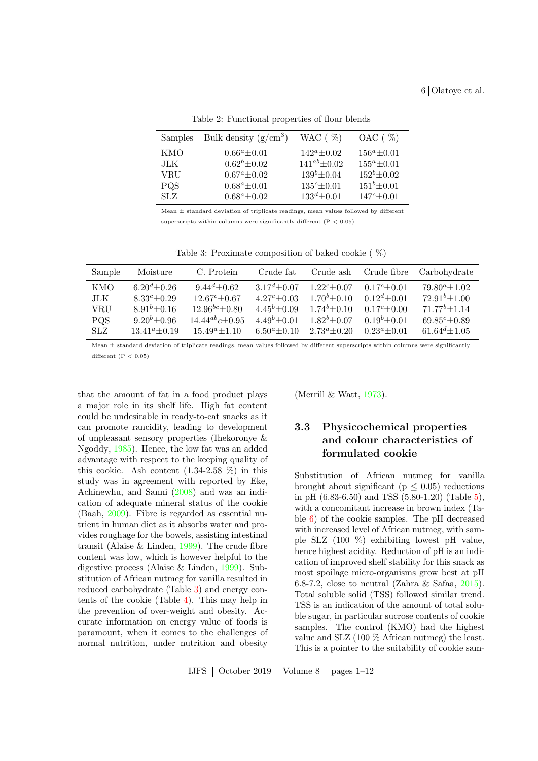| Samples    | Bulk density $(g/cm^3)$ | WAC $(\% )$         | $OAC$ ( $\%$ )     |
|------------|-------------------------|---------------------|--------------------|
| KMO        | $0.66^a \pm 0.01$       | $142^a \pm 0.02$    | $156^a \pm 0.01$   |
| JLK        | $0.62^b \pm 0.02$       | $141^{ab} \pm 0.02$ | $155^a \pm 0.01$   |
| VRU        | $0.67^a \pm 0.02$       | $139^{b} \pm 0.04$  | $152^b \pm 0.02$   |
| <b>PQS</b> | $0.68^a \pm 0.01$       | $135^c \pm 0.01$    | $151^{b} \pm 0.01$ |
| SLZ.       | $0.68^a \pm 0.02$       | $133^d \pm 0.01$    | $147^c \pm 0.01$   |

<span id="page-5-0"></span>Table 2: Functional properties of flour blends

Mean  $\pm$  standard deviation of triplicate readings, mean values followed by different superscripts within columns were significantly different  $(P < 0.05)$ 

<span id="page-5-1"></span>Table 3: Proximate composition of baked cookie ( %)

| Sample     | Moisture            | C. Protein            | Crude fat           | Crude ash           | Crude fibre       | Carbohydrate         |
|------------|---------------------|-----------------------|---------------------|---------------------|-------------------|----------------------|
| KMO        | $6.20^{d} \pm 0.26$ | $9.44^d \pm 0.62$     | $3.17^{d} \pm 0.07$ | $1.22^c \pm 0.07$   | $0.17^c \pm 0.01$ | $79.80^a \pm 1.02$   |
| JLK        | $8.33^c \pm 0.29$   | $12.67^c \pm 0.67$    | $4.27^c \pm 0.03$   | $1.70^{b} \pm 0.10$ | $0.12^d \pm 0.01$ | $72.91^{b} \pm 1.00$ |
| VRU        | $8.91^{b} \pm 0.16$ | $12.96^{bc} \pm 0.80$ | $4.45^{b} \pm 0.09$ | $1.74b + 0.10$      | $0.17^c + 0.00$   | $71.77^b \pm 1.14$   |
| <b>PQS</b> | $9.20^{b} \pm 0.96$ | $14.44^{ab}c + 0.95$  | $4.49b \pm 0.01$    | $1.82^b \pm 0.07$   | $0.19^b \pm 0.01$ | $69.85c \pm 0.89$    |
| <b>SLZ</b> | $13.41^a \pm 0.19$  | $15.49^a \pm 1.10$    | $6.50^a \pm 0.10$   | $2.73^a \pm 0.20$   | $0.23^a \pm 0.01$ | $61.64^{d} \pm 1.05$ |

Mean  $+$  standard deviation of triplicate readings, mean values followed by different superscripts within columns were significantly different  $(P < 0.05)$ 

that the amount of fat in a food product plays a major role in its shelf life. High fat content could be undesirable in ready-to-eat snacks as it can promote rancidity, leading to development of unpleasant sensory properties (Ihekoronye & Ngoddy, [1985\)](#page-10-16). Hence, the low fat was an added advantage with respect to the keeping quality of this cookie. Ash content  $(1.34-2.58\%)$  in this study was in agreement with reported by Eke, Achinewhu, and Sanni [\(2008\)](#page-10-17) and was an indication of adequate mineral status of the cookie (Baah, [2009\)](#page-9-10). Fibre is regarded as essential nutrient in human diet as it absorbs water and provides roughage for the bowels, assisting intestinal transit (Alaise & Linden, [1999\)](#page-9-11). The crude fibre content was low, which is however helpful to the digestive process (Alaise & Linden, [1999\)](#page-9-11). Substitution of African nutmeg for vanilla resulted in reduced carbohydrate (Table [3\)](#page-5-1) and energy contents of the cookie (Table [4\)](#page-6-0). This may help in the prevention of over-weight and obesity. Accurate information on energy value of foods is paramount, when it comes to the challenges of normal nutrition, under nutrition and obesity

(Merrill  $& Watt, 1973$ ).

## 3.3 Physicochemical properties and colour characteristics of formulated cookie

Substitution of African nutmeg for vanilla brought about significant ( $p \leq 0.05$ ) reductions in pH (6.83-6.50) and TSS (5.80-1.20) (Table [5\)](#page-6-1), with a concomitant increase in brown index (Table [6\)](#page-7-0) of the cookie samples. The pH decreased with increased level of African nutmeg, with sample SLZ (100 %) exhibiting lowest pH value, hence highest acidity. Reduction of pH is an indication of improved shelf stability for this snack as most spoilage micro-organisms grow best at pH 6.8-7.2, close to neutral (Zahra & Safaa, [2015\)](#page-11-6). Total soluble solid (TSS) followed similar trend. TSS is an indication of the amount of total soluble sugar, in particular sucrose contents of cookie samples. The control (KMO) had the highest value and SLZ (100 % African nutmeg) the least. This is a pointer to the suitability of cookie sam-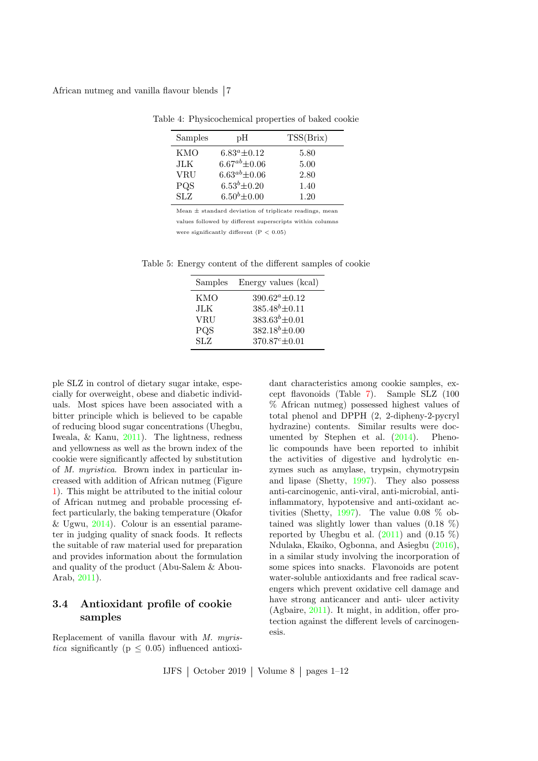African nutmeg and vanilla flavour blends | 7

<span id="page-6-0"></span>

| Samples    | pН                   | TSS(Brix) |
|------------|----------------------|-----------|
| <b>KMO</b> | $6.83^a \pm 0.12$    | 5.80      |
| JLK.       | $6.67^{ab} \pm 0.06$ | 5.00      |
| VRU        | $6.63^{ab} \pm 0.06$ | 2.80      |
| PQS        | $6.53^{b} \pm 0.20$  | 1.40      |
| <b>SLZ</b> | $6.50^{b} \pm 0.00$  | 1.20      |

Table 4: Physicochemical properties of baked cookie

Mean  $\pm$  standard deviation of triplicate readings, mean

values followed by different superscripts within columns

<span id="page-6-1"></span>were significantly different  $(P < 0.05)$ 

| Samples    | Energy values (kcal)  |
|------------|-----------------------|
| KMO        | $390.62^a \pm 0.12$   |
| JLK        | $385.48^{b} \pm 0.11$ |
| <b>VRU</b> | $383.63^{b} \pm 0.01$ |
| PQS        | $382.18^{b} \pm 0.00$ |
| <b>SLZ</b> | $370.87c \pm 0.01$    |

Table 5: Energy content of the different samples of cookie

ple SLZ in control of dietary sugar intake, especially for overweight, obese and diabetic individuals. Most spices have been associated with a bitter principle which is believed to be capable of reducing blood sugar concentrations (Uhegbu, Iweala, & Kanu, [2011\)](#page-11-7). The lightness, redness and yellowness as well as the brown index of the cookie were significantly affected by substitution of M. myristica. Brown index in particular increased with addition of African nutmeg (Figure [1\)](#page-7-1). This might be attributed to the initial colour of African nutmeg and probable processing effect particularly, the baking temperature (Okafor  $& \text{Ugwu}, 2014$ . Colour is an essential parameter in judging quality of snack foods. It reflects the suitable of raw material used for preparation and provides information about the formulation and quality of the product (Abu-Salem & Abou-Arab, [2011\)](#page-9-12).

## 3.4 Antioxidant profile of cookie samples

Replacement of vanilla flavour with M. myristica significantly ( $p \leq 0.05$ ) influenced antioxidant characteristics among cookie samples, except flavonoids (Table [7\)](#page-7-2). Sample SLZ (100 % African nutmeg) possessed highest values of total phenol and DPPH (2, 2-dipheny-2-pycryl hydrazine) contents. Similar results were documented by Stephen et al. [\(2014\)](#page-11-4). Phenolic compounds have been reported to inhibit the activities of digestive and hydrolytic enzymes such as amylase, trypsin, chymotrypsin and lipase (Shetty, [1997\)](#page-11-9). They also possess anti-carcinogenic, anti-viral, anti-microbial, antiinflammatory, hypotensive and anti-oxidant ac-tivities (Shetty, [1997\)](#page-11-9). The value  $0.08\%$  obtained was slightly lower than values  $(0.18 \%)$ reported by Uhegbu et al.  $(2011)$  and  $(0.15\%)$ Ndulaka, Ekaiko, Ogbonna, and Asiegbu [\(2016\)](#page-10-19), in a similar study involving the incorporation of some spices into snacks. Flavonoids are potent water-soluble antioxidants and free radical scavengers which prevent oxidative cell damage and have strong anticancer and anti- ulcer activity (Agbaire, [2011\)](#page-9-13). It might, in addition, offer protection against the different levels of carcinogenesis.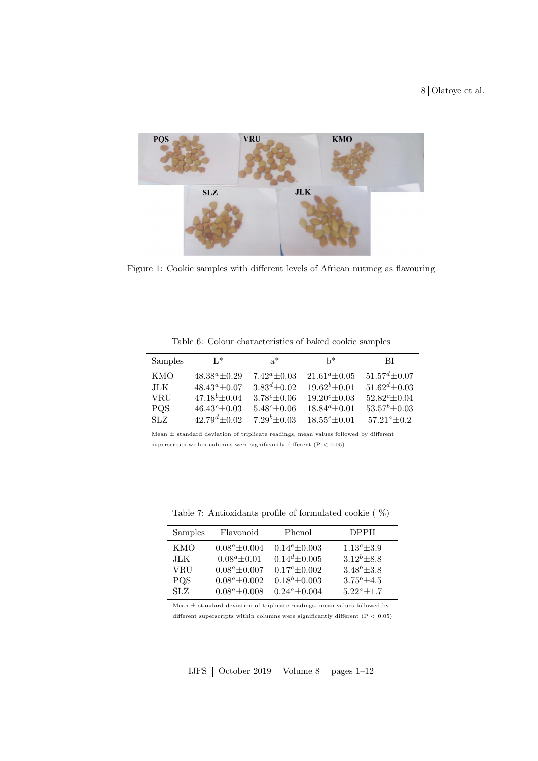

Figure 1: Cookie samples with different levels of African nutmeg as flavouring

| Samples    | $L^*$                | $a^*$               | h*                   | ВI                   |
|------------|----------------------|---------------------|----------------------|----------------------|
| KMO        | $48.38^a \pm 0.29$   | $7.42^a \pm 0.03$   | $21.61^a \pm 0.05$   | $51.57^{d} + 0.07$   |
| JLK.       | $48.43^a \pm 0.07$   | $3.83^{d} + 0.02$   | $19.62^{b} \pm 0.01$ | $51.62^d \pm 0.03$   |
| VRU        | $47.18^{b} \pm 0.04$ | $3.78^e + 0.06$     | $19.20^c \pm 0.03$   | $52.82^c \pm 0.04$   |
| <b>PQS</b> | $46.43^c \pm 0.03$   | $5.48^{c} \pm 0.06$ | $18.84^{d} \pm 0.01$ | $53.57^{b} \pm 0.03$ |
| SLZ.       | $42.79^{d} \pm 0.02$ | $7.29^{b} + 0.03$   | $18.55^e + 0.01$     | $57.21^{\circ}+0.2$  |

<span id="page-7-1"></span><span id="page-7-0"></span>Table 6: Colour characteristics of baked cookie samples

Mean  $\pm$  standard deviation of triplicate readings, mean values followed by different superscripts within columns were significantly different  $(P < 0.05)$ 

| Samples                 | Flavonoid          | Phenol             | <b>DPPH</b>        |
|-------------------------|--------------------|--------------------|--------------------|
| <b>KMO</b>              | $0.08^a \pm 0.004$ | $0.14^e \pm 0.003$ | $1.13^c \pm 3.9$   |
| JLK                     | $0.08^a \pm 0.01$  | $0.14^d \pm 0.005$ | $3.12^b \pm 8.8$   |
| VRU                     | $0.08^a \pm 0.007$ | $0.17^c \pm 0.002$ | $3.48^{b} \pm 3.8$ |
| <b>PQS</b>              | $0.08^a \pm 0.002$ | $0.18^b \pm 0.003$ | $3.75^{b} \pm 4.5$ |
| $\overline{\text{STZ}}$ | $0.08^a \pm 0.008$ | $0.24^a \pm 0.004$ | $5.22^a + 1.7$     |

<span id="page-7-2"></span>Table 7: Antioxidants profile of formulated cookie ( %)

Mean  $\pm$  standard deviation of triplicate readings, mean values followed by different superscripts within columns were significantly different (P  $<\,0.05)$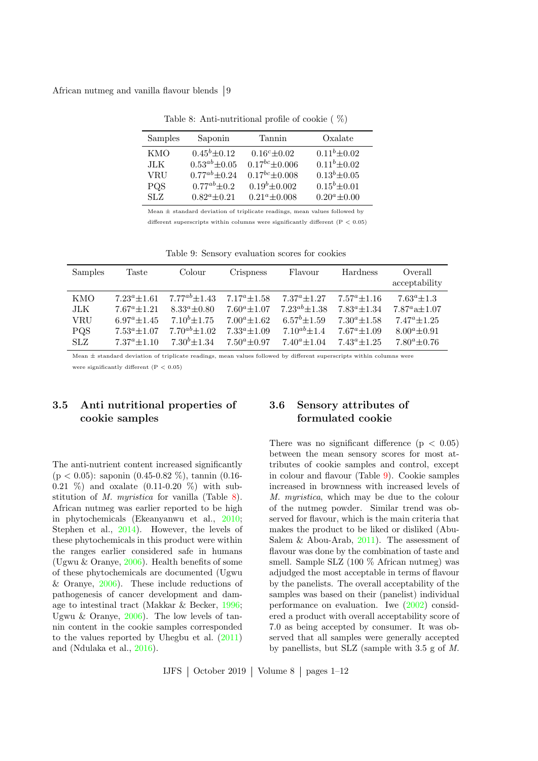African nutmeg and vanilla flavour blends 9

| Samples    | Saponin              | Tannin                | Oxalate             |
|------------|----------------------|-----------------------|---------------------|
| KMO        | $0.45^b \pm 0.12$    | $0.16^c \pm 0.02$     | $0.11b \pm 0.02$    |
| JLK.       | $0.53^{ab} \pm 0.05$ | $0.17^{bc} \pm 0.006$ | $0.11^b \pm 0.02$   |
| <b>VRU</b> | $0.77^{ab} \pm 0.24$ | $0.17^{bc} \pm 0.008$ | $0.13^{b} \pm 0.05$ |
| PQS        | $0.77^{ab} \pm 0.2$  | $0.19^{b} \pm 0.002$  | $0.15^b \pm 0.01$   |
| SLZ.       | $0.82^a \pm 0.21$    | $0.21^a \pm 0.008$    | $0.20^a \pm 0.00$   |

<span id="page-8-0"></span>Table 8: Anti-nutritional profile of cookie ( %)

Mean  $+$  standard deviation of triplicate readings, mean values followed by

different superscripts within columns were significantly different ( $P < 0.05$ )

| <b>Samples</b> | Taste             | Colour               | <b>Crispness</b>  | Flavour             | Hardness          | Overall<br>acceptability |
|----------------|-------------------|----------------------|-------------------|---------------------|-------------------|--------------------------|
| KMO            | $7.23^a \pm 1.61$ | $7.77^{ab} \pm 1.43$ | $7.17^a \pm 1.58$ | $7.37^a \pm 1.27$   | $7.57^a \pm 1.16$ | $7.63^a \pm 1.3$         |
| JLK            | $7.67^a \pm 1.21$ | $8.33^a \pm 0.80$    | $7.60^a \pm 1.07$ | $7.23^{ab}$ ± 1.38  | $7.83^a \pm 1.34$ | $7.87^a$ a $\pm$ 1.07    |
| <b>VRU</b>     | $6.97^a \pm 1.45$ | $7.10^{b} \pm 1.75$  | $7.00^a + 1.62$   | $6.57^{b}$ ± 1.59   | $7.30^a \pm 1.58$ | $7.47^a \pm 1.25$        |
| <b>PQS</b>     | $7.53^a \pm 1.07$ | $7.70^{ab} \pm 1.02$ | $7.33^a + 1.09$   | $7.10^{ab} \pm 1.4$ | $7.67^a \pm 1.09$ | $8.00^a \pm 0.91$        |
| SLZ            | $7.37^a + 1.10$   | $7.30^{b} \pm 1.34$  | $7.50^a \pm 0.97$ | $7.40^a$ + 1.04     | $7.43^a + 1.25$   | $7.80^a + 0.76$          |

<span id="page-8-1"></span>Table 9: Sensory evaluation scores for cookies

Mean ± standard deviation of triplicate readings, mean values followed by different superscripts within columns were

were significantly different  $(P < 0.05)$ 

## 3.5 Anti nutritional properties of cookie samples

The anti-nutrient content increased significantly (p < 0.05): saponin (0.45-0.82 %), tannin (0.16- 0.21  $\%$ ) and oxalate (0.11-0.20  $\%$ ) with substitution of M. myristica for vanilla (Table [8\)](#page-8-0). African nutmeg was earlier reported to be high in phytochemicals (Ekeanyanwu et al., [2010;](#page-10-13) Stephen et al., [2014\)](#page-11-4). However, the levels of these phytochemicals in this product were within the ranges earlier considered safe in humans (Ugwu & Oranye, [2006\)](#page-11-10). Health benefits of some of these phytochemicals are documented (Ugwu & Oranye,  $2006$ ). These include reductions of pathogenesis of cancer development and damage to intestinal tract (Makkar & Becker, [1996;](#page-10-20) Ugwu & Oranye, [2006\)](#page-11-10). The low levels of tannin content in the cookie samples corresponded to the values reported by Uhegbu et al. [\(2011\)](#page-11-7) and (Ndulaka et al., [2016\)](#page-10-19).

## 3.6 Sensory attributes of formulated cookie

There was no significant difference  $(p < 0.05)$ between the mean sensory scores for most attributes of cookie samples and control, except in colour and flavour (Table [9\)](#page-8-1). Cookie samples increased in brownness with increased levels of M. myristica, which may be due to the colour of the nutmeg powder. Similar trend was observed for flavour, which is the main criteria that makes the product to be liked or disliked (Abu-Salem & Abou-Arab, [2011\)](#page-9-12). The assessment of flavour was done by the combination of taste and smell. Sample SLZ (100 % African nutmeg) was adjudged the most acceptable in terms of flavour by the panelists. The overall acceptability of the samples was based on their (panelist) individual performance on evaluation. Iwe [\(2002\)](#page-10-10) considered a product with overall acceptability score of 7.0 as being accepted by consumer. It was observed that all samples were generally accepted by panellists, but SLZ (sample with  $3.5 \text{ g}$  of M.

IJFS  $\vert$  October 2019  $\vert$  Volume 8  $\vert$  pages 1–12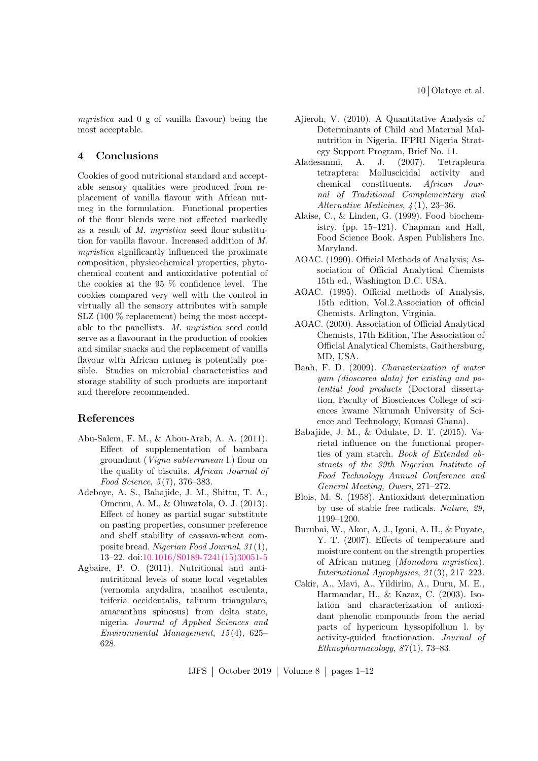10 Olatoye et al.

myristica and 0 g of vanilla flavour) being the most acceptable.

### 4 Conclusions

Cookies of good nutritional standard and acceptable sensory qualities were produced from replacement of vanilla flavour with African nutmeg in the formulation. Functional properties of the flour blends were not affected markedly as a result of M. myristica seed flour substitution for vanilla flavour. Increased addition of M. myristica significantly influenced the proximate composition, physicochemical properties, phytochemical content and antioxidative potential of the cookies at the 95 % confidence level. The cookies compared very well with the control in virtually all the sensory attributes with sample SLZ (100 % replacement) being the most acceptable to the panellists. M. myristica seed could serve as a flavourant in the production of cookies and similar snacks and the replacement of vanilla flavour with African nutmeg is potentially possible. Studies on microbial characteristics and storage stability of such products are important and therefore recommended.

### References

- <span id="page-9-12"></span>Abu-Salem, F. M., & Abou-Arab, A. A. (2011). Effect of supplementation of bambara groundnut (Vigna subterranean l.) flour on the quality of biscuits. African Journal of Food Science, 5 (7), 376–383.
- <span id="page-9-3"></span>Adeboye, A. S., Babajide, J. M., Shittu, T. A., Omemu, A. M., & Oluwatola, O. J. (2013). Effect of honey as partial sugar substitute on pasting properties, consumer preference and shelf stability of cassava-wheat composite bread. Nigerian Food Journal, 31 (1), 13–22. doi[:10.1016/S0189-7241\(15\)30051-5](https://dx.doi.org/10.1016/S0189-7241(15)30051-5)
- <span id="page-9-13"></span>Agbaire, P. O. (2011). Nutritional and antinutritional levels of some local vegetables (vernomia anydalira, manihot esculenta, teiferia occidentalis, talinum triangulare, amaranthus spinosus) from delta state, nigeria. Journal of Applied Sciences and Environmental Management, 15 (4), 625– 628.
- <span id="page-9-0"></span>Ajieroh, V. (2010). A Quantitative Analysis of Determinants of Child and Maternal Malnutrition in Nigeria. IFPRI Nigeria Strategy Support Program, Brief No. 11.
- <span id="page-9-2"></span>Aladesanmi, A. J. (2007). Tetrapleura tetraptera: Molluscicidal activity and chemical constituents. African Journal of Traditional Complementary and Alternative Medicines, 4 (1), 23–36.
- <span id="page-9-11"></span>Alaise, C., & Linden, G. (1999). Food biochemistry. (pp. 15–121). Chapman and Hall, Food Science Book. Aspen Publishers Inc. Maryland.
- <span id="page-9-7"></span>AOAC. (1990). Official Methods of Analysis; Association of Official Analytical Chemists 15th ed., Washington D.C. USA.
- <span id="page-9-5"></span>AOAC. (1995). Official methods of Analysis, 15th edition, Vol.2.Association of official Chemists. Arlington, Virginia.
- <span id="page-9-4"></span>AOAC. (2000). Association of Official Analytical Chemists, 17th Edition, The Association of Official Analytical Chemists, Gaithersburg, MD, USA.
- <span id="page-9-10"></span>Baah, F. D. (2009). Characterization of water yam (dioscorea alata) for existing and potential food products (Doctoral dissertation, Faculty of Biosciences College of sciences kwame Nkrumah University of Science and Technology, Kumasi Ghana).
- <span id="page-9-6"></span>Babajide, J. M., & Odulate, D. T. (2015). Varietal influence on the functional properties of yam starch. Book of Extended abstracts of the 39th Nigerian Institute of Food Technology Annual Conference and General Meeting, Oweri, 271–272.
- <span id="page-9-8"></span>Blois, M. S. (1958). Antioxidant determination by use of stable free radicals. Nature, 29, 1199–1200.
- <span id="page-9-1"></span>Burubai, W., Akor, A. J., Igoni, A. H., & Puyate, Y. T. (2007). Effects of temperature and moisture content on the strength properties of African nutmeg (Monodora myristica). International Agrophysics, 21 (3), 217–223.
- <span id="page-9-9"></span>Cakir, A., Mavi, A., Yildirim, A., Duru, M. E., Harmandar, H., & Kazaz, C. (2003). Isolation and characterization of antioxidant phenolic compounds from the aerial parts of hypericum hyssopifolium l. by activity-guided fractionation. Journal of Ethnopharmacology,  $87(1)$ , 73–83.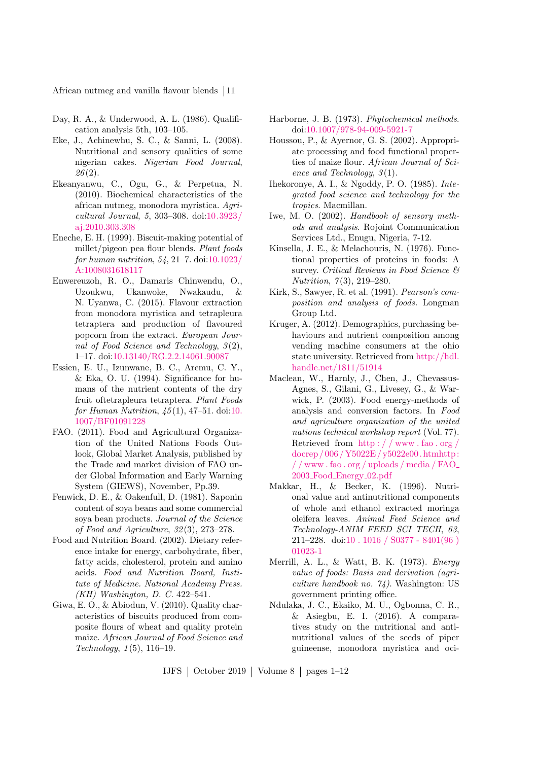African nutmeg and vanilla flavour blends 11

- <span id="page-10-8"></span>Day, R. A., & Underwood, A. L. (1986). Qualification analysis 5th, 103–105.
- <span id="page-10-17"></span>Eke, J., Achinewhu, S. C., & Sanni, L. (2008). Nutritional and sensory qualities of some nigerian cakes. Nigerian Food Journal,  $26(2).$
- <span id="page-10-13"></span>Ekeanyanwu, C., Ogu, G., & Perpetua, N. (2010). Biochemical characteristics of the african nutmeg, monodora myristica. Agricultural Journal, 5, 303–308. doi[:10.3923/](https://dx.doi.org/10.3923/aj.2010.303.308) [aj.2010.303.308](https://dx.doi.org/10.3923/aj.2010.303.308)
- <span id="page-10-4"></span>Eneche, E. H. (1999). Biscuit-making potential of millet/pigeon pea flour blends. Plant foods for human nutrition, 54, 21–7. doi[:10.1023/](https://dx.doi.org/10.1023/A:1008031618117) [A:1008031618117](https://dx.doi.org/10.1023/A:1008031618117)
- <span id="page-10-2"></span>Enwereuzoh, R. O., Damaris Chinwendu, O., Uzoukwu, Ukanwoke, Nwakaudu, & N. Uyanwa, C. (2015). Flavour extraction from monodora myristica and tetrapleura tetraptera and production of flavoured popcorn from the extract. European Journal of Food Science and Technology,  $3(2)$ , 1–17. doi[:10.13140/RG.2.2.14061.90087](https://dx.doi.org/10.13140/RG.2.2.14061.90087)
- <span id="page-10-3"></span>Essien, E. U., Izunwane, B. C., Aremu, C. Y., & Eka, O. U. (1994). Significance for humans of the nutrient contents of the dry fruit oftetrapleura tetraptera. Plant Foods for Human Nutrition,  $45(1)$ ,  $47-51$ . doi[:10.](https://dx.doi.org/10.1007/BF01091228) [1007/BF01091228](https://dx.doi.org/10.1007/BF01091228)
- <span id="page-10-0"></span>FAO. (2011). Food and Agricultural Organization of the United Nations Foods Outlook, Global Market Analysis, published by the Trade and market division of FAO under Global Information and Early Warning System (GIEWS), November, Pp.39.
- <span id="page-10-9"></span>Fenwick, D. E., & Oakenfull, D. (1981). Saponin content of soya beans and some commercial soya bean products. Journal of the Science of Food and Agriculture, 32 (3), 273–278.
- <span id="page-10-14"></span>Food and Nutrition Board. (2002). Dietary reference intake for energy, carbohydrate, fiber, fatty acids, cholesterol, protein and amino acids. Food and Nutrition Board, Institute of Medicine. National Academy Press. (KH) Washington, D. C. 422–541.
- <span id="page-10-15"></span>Giwa, E. O., & Abiodun, V. (2010). Quality characteristics of biscuits produced from composite flours of wheat and quality protein maize. African Journal of Food Science and Technology, 1 (5), 116–19.
- <span id="page-10-6"></span>Harborne, J. B. (1973). Phytochemical methods. doi[:10.1007/978-94-009-5921-7](https://dx.doi.org/10.1007/978-94-009-5921-7)
- <span id="page-10-11"></span>Houssou, P., & Ayernor, G. S. (2002). Appropriate processing and food functional properties of maize flour. African Journal of Science and Technology,  $3(1)$ .
- <span id="page-10-16"></span>Ihekoronye, A. I., & Ngoddy, P. O. (1985). Integrated food science and technology for the tropics. Macmillan.
- <span id="page-10-10"></span>Iwe, M. O. (2002). Handbook of sensory methods and analysis. Rojoint Communication Services Ltd., Enugu, Nigeria, 7-12.
- <span id="page-10-12"></span>Kinsella, J. E., & Melachouris, N. (1976). Functional properties of proteins in foods: A survey. Critical Reviews in Food Science  $\mathcal B$ Nutrition, 7(3), 219-280.
- <span id="page-10-7"></span>Kirk, S., Sawyer, R. et al. (1991). Pearson's composition and analysis of foods. Longman Group Ltd.
- <span id="page-10-1"></span>Kruger, A. (2012). Demographics, purchasing behaviours and nutrient composition among vending machine consumers at the ohio state university. Retrieved from [http://hdl.](http://hdl.handle.net/1811/51914) [handle.net/1811/51914](http://hdl.handle.net/1811/51914)
- <span id="page-10-5"></span>Maclean, W., Harnly, J., Chen, J., Chevassus-Agnes, S., Gilani, G., Livesey, G., & Warwick, P. (2003). Food energy-methods of analysis and conversion factors. In Food and agriculture organization of the united nations technical workshop report (Vol. 77). Retrieved from [http : / / www . fao . org /](http://www.fao.org/docrep/006/Y5022E/y5022e00.htmhttp://www.fao.org/uploads/media/FAO_2003_Food_Energy_02.pdf) [docrep / 006 /Y5022E / y5022e00. htmhttp:](http://www.fao.org/docrep/006/Y5022E/y5022e00.htmhttp://www.fao.org/uploads/media/FAO_2003_Food_Energy_02.pdf) [/ / www . fao . org / uploads / media / FAO](http://www.fao.org/docrep/006/Y5022E/y5022e00.htmhttp://www.fao.org/uploads/media/FAO_2003_Food_Energy_02.pdf) 2003\_Food\_[Energy](http://www.fao.org/docrep/006/Y5022E/y5022e00.htmhttp://www.fao.org/uploads/media/FAO_2003_Food_Energy_02.pdf)\_02.pdf
- <span id="page-10-20"></span>Makkar, H., & Becker, K. (1996). Nutrional value and antinutritional components of whole and ethanol extracted moringa oleifera leaves. Animal Feed Science and Technology-ANIM FEED SCI TECH, 63, 211–228. doi[:10 . 1016 / S0377 - 8401\(96 \)](https://dx.doi.org/10.1016/S0377-8401(96)01023-1) [01023-1](https://dx.doi.org/10.1016/S0377-8401(96)01023-1)
- <span id="page-10-18"></span>Merrill, A. L., & Watt, B. K. (1973). Energy value of foods: Basis and derivation (agriculture handbook no. 74). Washington: US government printing office.
- <span id="page-10-19"></span>Ndulaka, J. C., Ekaiko, M. U., Ogbonna, C. R., & Asiegbu, E. I. (2016). A comparatives study on the nutritional and antinutritional values of the seeds of piper guineense, monodora myristica and oci-